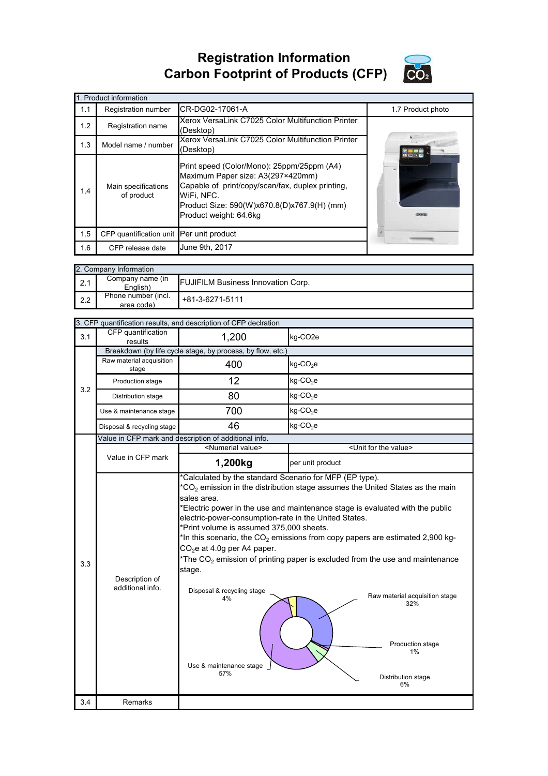## **Registration Information Carbon Footprint of Products (CFP)**



|     | 1. Product information                   |                                                                                                                                                                                                                            |                   |
|-----|------------------------------------------|----------------------------------------------------------------------------------------------------------------------------------------------------------------------------------------------------------------------------|-------------------|
| 1.1 | Registration number                      | CR-DG02-17061-A                                                                                                                                                                                                            | 1.7 Product photo |
| 1.2 | Registration name                        | Xerox VersaLink C7025 Color Multifunction Printer<br>(Desktop)                                                                                                                                                             |                   |
| 1.3 | Model name / number                      | Xerox VersaLink C7025 Color Multifunction Printer<br>(Desktop)                                                                                                                                                             |                   |
| 1.4 | Main specifications<br>of product        | Print speed (Color/Mono): 25ppm/25ppm (A4)<br>Maximum Paper size: A3(297×420mm)<br>Capable of print/copy/scan/fax, duplex printing,<br>WiFi. NFC.<br>Product Size: 590(W)x670.8(D)x767.9(H) (mm)<br>Product weight: 64.6kg |                   |
| 1.5 | CFP quantification unit Per unit product |                                                                                                                                                                                                                            |                   |
| 1.6 | CFP release date                         | June 9th, 2017                                                                                                                                                                                                             |                   |

|     | 2. Company Information            |                                           |
|-----|-----------------------------------|-------------------------------------------|
| 2.1 | Company name (in<br>English)      | <b>FUJIFILM Business Innovation Corp.</b> |
| 2.2 | Phone number (incl.<br>area code) | $+81-3-6271-5111$                         |

|     |                                    | 3. CFP quantification results, and description of CFP declration                                                                                                                                                                                                                            |                                                                                                                                                                                                                                                                                                                                                                                                                                      |
|-----|------------------------------------|---------------------------------------------------------------------------------------------------------------------------------------------------------------------------------------------------------------------------------------------------------------------------------------------|--------------------------------------------------------------------------------------------------------------------------------------------------------------------------------------------------------------------------------------------------------------------------------------------------------------------------------------------------------------------------------------------------------------------------------------|
| 3.1 | CFP quantification<br>results      | 1,200                                                                                                                                                                                                                                                                                       | kg-CO <sub>2</sub> e                                                                                                                                                                                                                                                                                                                                                                                                                 |
|     |                                    | Breakdown (by life cycle stage, by process, by flow, etc.)                                                                                                                                                                                                                                  |                                                                                                                                                                                                                                                                                                                                                                                                                                      |
|     | Raw material acquisition<br>stage  | 400                                                                                                                                                                                                                                                                                         | $kg$ -CO <sub>2</sub> e                                                                                                                                                                                                                                                                                                                                                                                                              |
| 3.2 | Production stage                   | 12                                                                                                                                                                                                                                                                                          | $kg$ -CO <sub>2</sub> e                                                                                                                                                                                                                                                                                                                                                                                                              |
|     | Distribution stage                 | 80                                                                                                                                                                                                                                                                                          | $kg$ -CO <sub>2</sub> e                                                                                                                                                                                                                                                                                                                                                                                                              |
|     | Use & maintenance stage            | 700                                                                                                                                                                                                                                                                                         | $kg$ -CO <sub>2</sub> e                                                                                                                                                                                                                                                                                                                                                                                                              |
|     | Disposal & recycling stage         | 46                                                                                                                                                                                                                                                                                          | $kg$ -CO <sub>2</sub> e                                                                                                                                                                                                                                                                                                                                                                                                              |
|     |                                    | Value in CFP mark and description of additional info.                                                                                                                                                                                                                                       |                                                                                                                                                                                                                                                                                                                                                                                                                                      |
|     |                                    | <numerial value=""></numerial>                                                                                                                                                                                                                                                              | <unit for="" the="" value=""></unit>                                                                                                                                                                                                                                                                                                                                                                                                 |
|     | Value in CFP mark                  | 1,200kg                                                                                                                                                                                                                                                                                     | per unit product                                                                                                                                                                                                                                                                                                                                                                                                                     |
| 3.3 | Description of<br>additional info. | *Calculated by the standard Scenario for MFP (EP type).<br>sales area.<br>electric-power-consumption-rate in the United States.<br>*Print volume is assumed 375,000 sheets.<br>$CO2e$ at 4.0g per A4 paper.<br>stage.<br>Disposal & recycling stage<br>4%<br>Use & maintenance stage<br>57% | $*CO2$ emission in the distribution stage assumes the United States as the main<br>*Electric power in the use and maintenance stage is evaluated with the public<br>*In this scenario, the $CO2$ emissions from copy papers are estimated 2,900 kg-<br>*The $CO2$ emission of printing paper is excluded from the use and maintenance<br>Raw material acquisition stage<br>32%<br>Production stage<br>1%<br>Distribution stage<br>6% |
| 3.4 | Remarks                            |                                                                                                                                                                                                                                                                                             |                                                                                                                                                                                                                                                                                                                                                                                                                                      |